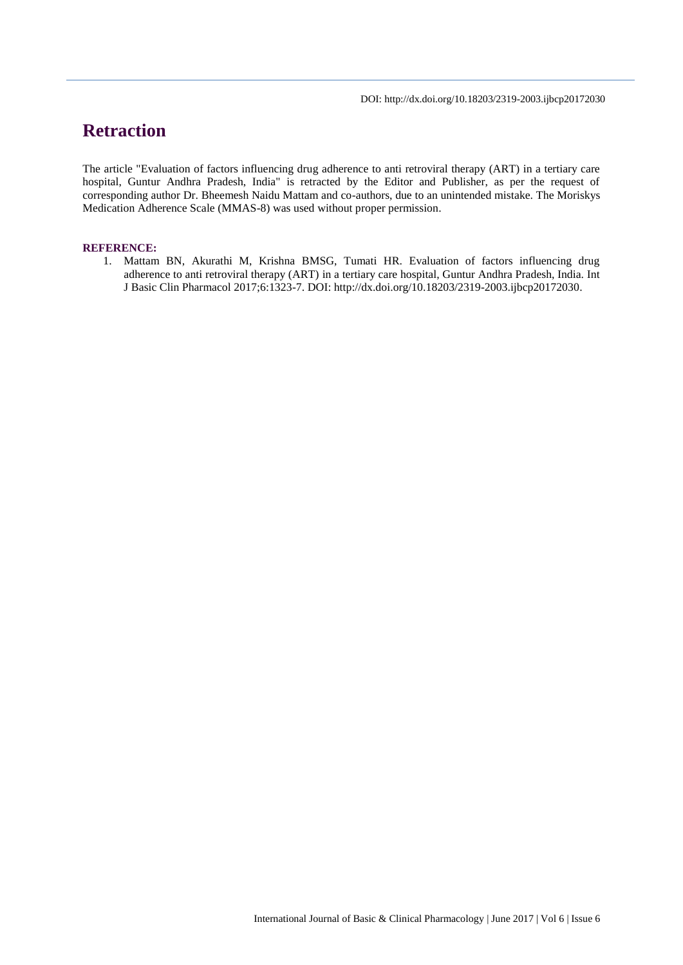DOI: http://dx.doi.org/10.18203/2319-2003.ijbcp20172030

# **Retraction**

The article "Evaluation of factors influencing drug adherence to anti retroviral therapy (ART) in a tertiary care hospital, Guntur Andhra Pradesh, India" is retracted by the Editor and Publisher, as per the request of corresponding author Dr. Bheemesh Naidu Mattam and co-authors, due to an unintended mistake. The Moriskys Medication Adherence Scale (MMAS-8) was used without proper permission.

#### **REFERENCE:**

1. Mattam BN, Akurathi M, Krishna BMSG, Tumati HR. Evaluation of factors influencing drug adherence to anti retroviral therapy (ART) in a tertiary care hospital, Guntur Andhra Pradesh, India. Int J Basic Clin Pharmacol 2017;6:1323-7. DOI: http://dx.doi.org/10.18203/2319-2003.ijbcp20172030.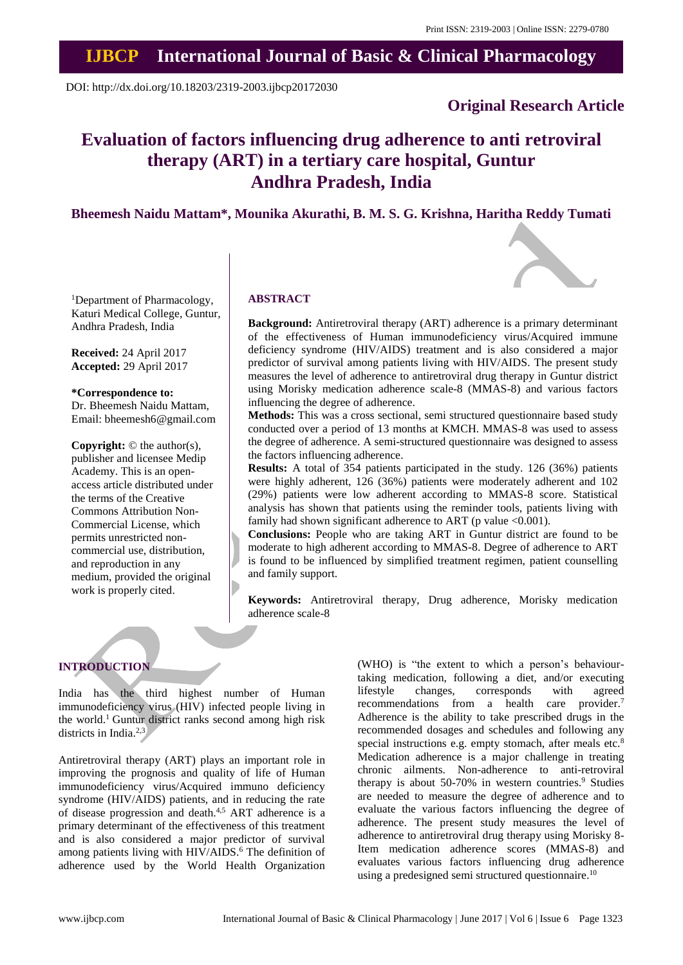## **IJBCP International Journal of Basic & Clinical Pharmacology**

DOI: http://dx.doi.org/10.18203/2319-2003.ijbcp20172030

### **Original Research Article**

## **Evaluation of factors influencing drug adherence to anti retroviral therapy (ART) in a tertiary care hospital, Guntur Andhra Pradesh, India**

**Bheemesh Naidu Mattam\*, Mounika Akurathi, B. M. S. G. Krishna, Haritha Reddy Tumati**

<sup>1</sup>Department of Pharmacology, Katuri Medical College, Guntur, Andhra Pradesh, India

**Received:** 24 April 2017 **Accepted:** 29 April 2017

#### **\*Correspondence to:**

Dr. Bheemesh Naidu Mattam, Email: bheemesh6@gmail.com

**Copyright:** © the author(s), publisher and licensee Medip Academy. This is an openaccess article distributed under the terms of the Creative Commons Attribution Non-Commercial License, which permits unrestricted noncommercial use, distribution, and reproduction in any medium, provided the original work is properly cited.

#### **ABSTRACT**

**Background:** Antiretroviral therapy (ART) adherence is a primary determinant of the effectiveness of Human immunodeficiency virus/Acquired immune deficiency syndrome (HIV/AIDS) treatment and is also considered a major predictor of survival among patients living with HIV/AIDS. The present study measures the level of adherence to antiretroviral drug therapy in Guntur district using Morisky medication adherence scale-8 (MMAS-8) and various factors influencing the degree of adherence.

**Methods:** This was a cross sectional, semi structured questionnaire based study conducted over a period of 13 months at KMCH. MMAS-8 was used to assess the degree of adherence. A semi-structured questionnaire was designed to assess the factors influencing adherence.

**Results:** A total of 354 patients participated in the study. 126 (36%) patients were highly adherent, 126 (36%) patients were moderately adherent and 102 (29%) patients were low adherent according to MMAS-8 score. Statistical analysis has shown that patients using the reminder tools, patients living with family had shown significant adherence to ART (p value  $<0.001$ ).

**Conclusions:** People who are taking ART in Guntur district are found to be moderate to high adherent according to MMAS-8. Degree of adherence to ART is found to be influenced by simplified treatment regimen, patient counselling and family support.

**Keywords:** Antiretroviral therapy, Drug adherence, Morisky medication adherence scale-8

## **INTRODUCTION**

India has the third highest number of Human immunodeficiency virus (HIV) infected people living in the world.<sup>1</sup> Guntur district ranks second among high risk districts in India.<sup>2,3</sup>

Antiretroviral therapy (ART) plays an important role in improving the prognosis and quality of life of Human immunodeficiency virus/Acquired immuno deficiency syndrome (HIV/AIDS) patients, and in reducing the rate of disease progression and death.4,5 ART adherence is a primary determinant of the effectiveness of this treatment and is also considered a major predictor of survival among patients living with HIV/AIDS.<sup>6</sup> The definition of adherence used by the World Health Organization (WHO) is "the extent to which a person's behaviourtaking medication, following a diet, and/or executing lifestyle changes, corresponds with agreed recommendations from a health care provider.<sup>7</sup> Adherence is the ability to take prescribed drugs in the recommended dosages and schedules and following any special instructions e.g. empty stomach, after meals etc.<sup>8</sup> Medication adherence is a major challenge in treating chronic ailments. Non-adherence to anti-retroviral therapy is about 50-70% in western countries.<sup>9</sup> Studies are needed to measure the degree of adherence and to evaluate the various factors influencing the degree of adherence. The present study measures the level of adherence to antiretroviral drug therapy using Morisky 8- Item medication adherence scores (MMAS-8) and evaluates various factors influencing drug adherence using a predesigned semi structured questionnaire.<sup>10</sup>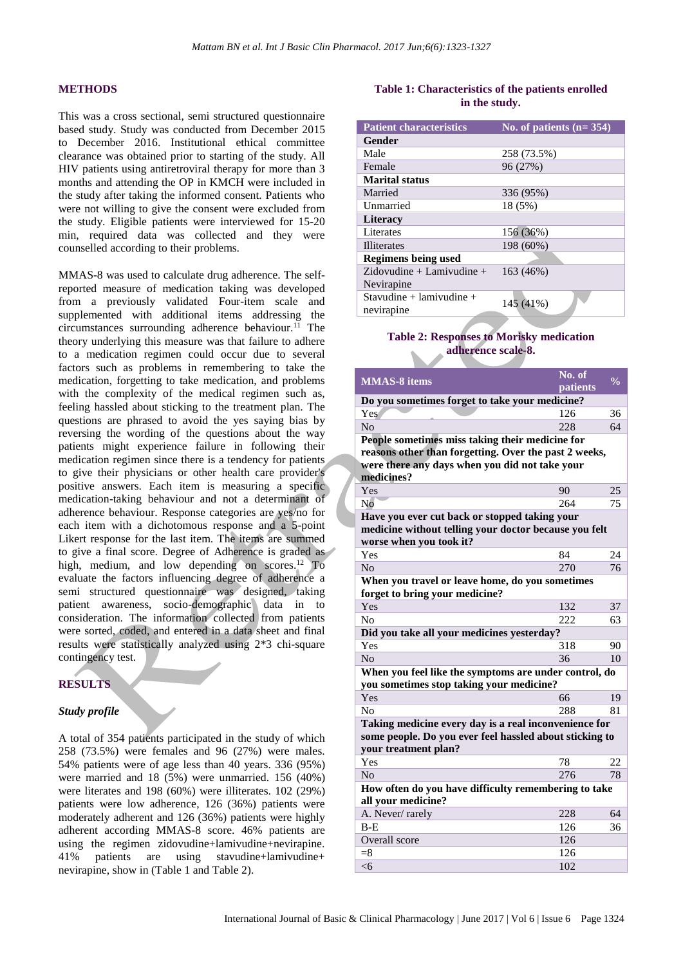#### **METHODS**

This was a cross sectional, semi structured questionnaire based study. Study was conducted from December 2015 to December 2016. Institutional ethical committee clearance was obtained prior to starting of the study. All HIV patients using antiretroviral therapy for more than 3 months and attending the OP in KMCH were included in the study after taking the informed consent. Patients who were not willing to give the consent were excluded from the study. Eligible patients were interviewed for 15-20 min, required data was collected and they were counselled according to their problems.

MMAS-8 was used to calculate drug adherence. The selfreported measure of medication taking was developed from a previously validated Four-item scale and supplemented with additional items addressing the circumstances surrounding adherence behaviour.<sup>11</sup> The theory underlying this measure was that failure to adhere to a medication regimen could occur due to several factors such as problems in remembering to take the medication, forgetting to take medication, and problems with the complexity of the medical regimen such as, feeling hassled about sticking to the treatment plan. The questions are phrased to avoid the yes saying bias by reversing the wording of the questions about the way patients might experience failure in following their medication regimen since there is a tendency for patients to give their physicians or other health care provider's positive answers. Each item is measuring a specific medication-taking behaviour and not a determinant of adherence behaviour. Response categories are yes/no for each item with a dichotomous response and a 5-point Likert response for the last item. The items are summed to give a final score. Degree of Adherence is graded as high, medium, and low depending on scores.<sup>12</sup> To evaluate the factors influencing degree of adherence a semi structured questionnaire was designed, taking patient awareness, socio-demographic data in to consideration. The information collected from patients were sorted, coded, and entered in a data sheet and final results were statistically analyzed using 2\*3 chi-square contingency test.

#### **RESULTS**

#### *Study profile*

A total of 354 patients participated in the study of which 258 (73.5%) were females and 96 (27%) were males. 54% patients were of age less than 40 years. 336 (95%) were married and 18 (5%) were unmarried. 156 (40%) were literates and 198 (60%) were illiterates. 102 (29%) patients were low adherence, 126 (36%) patients were moderately adherent and 126 (36%) patients were highly adherent according MMAS-8 score. 46% patients are using the regimen zidovudine+lamivudine+nevirapine. 41% patients are using stavudine+lamivudine+ nevirapine, show in (Table 1 and Table 2).

#### **Table 1: Characteristics of the patients enrolled in the study.**

| <b>Patient characteristics</b>         | No. of patients $(n=354)$ |
|----------------------------------------|---------------------------|
| Gender                                 |                           |
| Male                                   | 258 (73.5%)               |
| Female                                 | 96 (27%)                  |
| <b>Marital status</b>                  |                           |
| Married                                | 336 (95%)                 |
| Unmarried                              | 18 (5%)                   |
| <b>Literacy</b>                        |                           |
| Literates                              | 156 (36%)                 |
| <b>Illiterates</b>                     | 198 (60%)                 |
| <b>Regimens being used</b>             |                           |
| $Zidovudine + Lamivudine +$            | 163 (46%)                 |
| Nevirapine                             |                           |
| Stavudine + lamivudine +<br>nevirapine | 145 (41%)                 |

#### **Table 2: Responses to Morisky medication adherence scale-8.**

| <b>MMAS-8</b> items                                     | No. of   | $\overline{\frac{0}{0}}$ |  |  |  |  |
|---------------------------------------------------------|----------|--------------------------|--|--|--|--|
|                                                         | patients |                          |  |  |  |  |
| Do you sometimes forget to take your medicine?          |          |                          |  |  |  |  |
| Yes                                                     | 126      | 36                       |  |  |  |  |
| No                                                      | 228      | 64                       |  |  |  |  |
| People sometimes miss taking their medicine for         |          |                          |  |  |  |  |
| reasons other than forgetting. Over the past 2 weeks,   |          |                          |  |  |  |  |
| were there any days when you did not take your          |          |                          |  |  |  |  |
| medicines?                                              |          |                          |  |  |  |  |
| Yes                                                     | 90       | 25                       |  |  |  |  |
| N <sub>o</sub>                                          | 264      | 75                       |  |  |  |  |
| Have you ever cut back or stopped taking your           |          |                          |  |  |  |  |
| medicine without telling your doctor because you felt   |          |                          |  |  |  |  |
| worse when you took it?                                 |          |                          |  |  |  |  |
| Yes                                                     | 84       | 24                       |  |  |  |  |
| N <sub>0</sub>                                          | 270      | 76                       |  |  |  |  |
| When you travel or leave home, do you sometimes         |          |                          |  |  |  |  |
| forget to bring your medicine?                          |          |                          |  |  |  |  |
| Yes                                                     | 132      | 37                       |  |  |  |  |
| N <sub>o</sub>                                          | 222      | 63                       |  |  |  |  |
| Did you take all your medicines yesterday?              |          |                          |  |  |  |  |
| Yes                                                     | 318      | 90                       |  |  |  |  |
| No                                                      | 36       | 10                       |  |  |  |  |
| When you feel like the symptoms are under control, do   |          |                          |  |  |  |  |
| you sometimes stop taking your medicine?                |          |                          |  |  |  |  |
| Yes                                                     | 66       | 19                       |  |  |  |  |
| No                                                      | 288      | 81                       |  |  |  |  |
| Taking medicine every day is a real inconvenience for   |          |                          |  |  |  |  |
| some people. Do you ever feel hassled about sticking to |          |                          |  |  |  |  |
| vour treatment plan?                                    |          |                          |  |  |  |  |
| Yes                                                     | 78       | 22                       |  |  |  |  |
| N <sub>o</sub>                                          | 276      | 78                       |  |  |  |  |
| How often do you have difficulty remembering to take    |          |                          |  |  |  |  |
| all your medicine?                                      |          |                          |  |  |  |  |
| A. Never/rarely                                         | 228      | 64                       |  |  |  |  |
| $B - E$                                                 | 126      | 36                       |  |  |  |  |
| Overall score                                           | 126      |                          |  |  |  |  |
| $=$ 8                                                   | 126      |                          |  |  |  |  |
| <6                                                      | 102      |                          |  |  |  |  |
|                                                         |          |                          |  |  |  |  |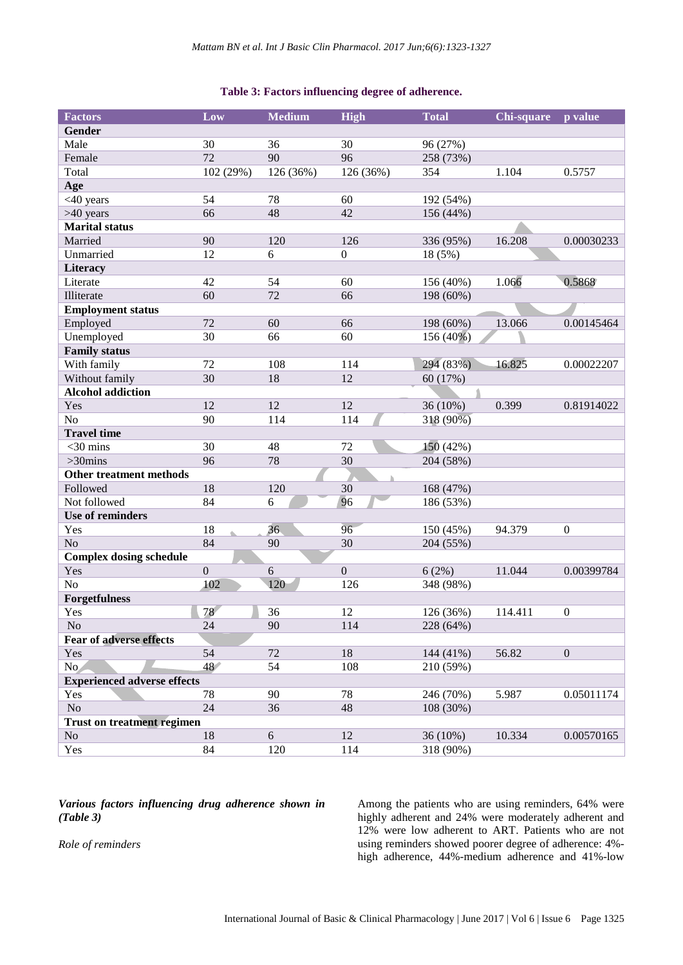#### **Table 3: Factors influencing degree of adherence.**

| <b>Factors</b>                     | Low            | <b>Medium</b> | <b>High</b>      | <b>Total</b> | Chi-square | p value          |
|------------------------------------|----------------|---------------|------------------|--------------|------------|------------------|
| <b>Gender</b>                      |                |               |                  |              |            |                  |
| Male                               | 30             | 36            | 30               | 96 (27%)     |            |                  |
| Female                             | 72             | 90            | 96               | 258 (73%)    |            |                  |
| Total                              | 102 (29%)      | 126 (36%)     | 126 (36%)        | 354          | 1.104      | 0.5757           |
| Age                                |                |               |                  |              |            |                  |
| <40 years                          | 54             | 78            | 60               | 192(54%)     |            |                  |
| >40 years                          | 66             | 48            | 42               | 156 (44%)    |            |                  |
| <b>Marital</b> status              |                |               |                  |              |            |                  |
| Married                            | 90             | 120           | 126              | 336 (95%)    | 16.208     | 0.00030233       |
| Unmarried                          | 12             | 6             | $\boldsymbol{0}$ | 18 (5%)      |            |                  |
| Literacy                           |                |               |                  |              |            |                  |
| Literate                           | 42             | 54            | 60               | 156 (40%)    | 1.066      | 0.5868           |
| Illiterate                         | 60             | 72            | 66               | 198 (60%)    |            |                  |
| <b>Employment status</b>           |                |               |                  |              |            |                  |
| Employed                           | 72             | 60            | 66               | 198 (60%)    | 13.066     | 0.00145464       |
| Unemployed                         | 30             | 66            | 60               | 156 (40%)    |            |                  |
| <b>Family status</b>               |                |               |                  |              |            |                  |
| With family                        | 72             | 108           | 114              | 294 (83%)    | 16.825     | 0.00022207       |
| Without family                     | 30             | 18            | 12               | 60 (17%)     |            |                  |
| <b>Alcohol addiction</b>           |                |               |                  |              |            |                  |
| Yes                                | 12             | 12            | 12               | 36 (10%)     | 0.399      | 0.81914022       |
| N <sub>o</sub>                     | 90             | 114           | 114              | 318 (90%)    |            |                  |
| <b>Travel time</b>                 |                |               |                  |              |            |                  |
| $<$ 30 mins                        | 30             | 48            | 72               | 150 (42%)    |            |                  |
| $>30$ mins                         | 96             | 78            | 30               | 204 (58%)    |            |                  |
| <b>Other treatment methods</b>     |                |               |                  |              |            |                  |
| Followed                           | 18             | 120           | 30               | 168 (47%)    |            |                  |
| Not followed                       | 84             | 6             | 96               | 186 (53%)    |            |                  |
| <b>Use of reminders</b>            |                |               |                  |              |            |                  |
| Yes                                | 18             | 36            | 96               | 150 (45%)    | 94.379     | $\boldsymbol{0}$ |
| N <sub>o</sub>                     | 84             | 90            | 30               | 204 (55%)    |            |                  |
| <b>Complex dosing schedule</b>     |                |               |                  |              |            |                  |
| Yes                                | $\overline{0}$ | 6             | $\overline{0}$   | 6(2%)        | 11.044     | 0.00399784       |
| N <sub>o</sub>                     | 102            | 120           | 126              | 348 (98%)    |            |                  |
| <b>Forgetfulness</b>               |                |               |                  |              |            |                  |
| Yes                                | 78             | 36            | 12               | 126 (36%)    | 114.411    | $\boldsymbol{0}$ |
| No                                 | 24             | 90            | 114              | 228 (64%)    |            |                  |
| <b>Fear of adverse effects</b>     |                |               |                  |              |            |                  |
| Yes                                | 54             | 72            | 18               | 144 (41%)    | 56.82      | $\boldsymbol{0}$ |
| No.                                | 48             | 54            | 108              | 210 (59%)    |            |                  |
| <b>Experienced adverse effects</b> |                |               |                  |              |            |                  |
| Yes                                | 78             | 90            | 78               | 246 (70%)    | 5.987      | 0.05011174       |
| $\rm No$                           | 24             | 36            | 48               | 108 (30%)    |            |                  |
| <b>Trust on treatment regimen</b>  |                |               |                  |              |            |                  |
| No                                 | 18             | 6             | 12               | 36 (10%)     | 10.334     | 0.00570165       |
| Yes                                | 84             | 120           | 114              | 318 (90%)    |            |                  |

#### *Various factors influencing drug adherence shown in (Table 3)*

Among the patients who are using reminders, 64% were highly adherent and 24% were moderately adherent and 12% were low adherent to ART. Patients who are not using reminders showed poorer degree of adherence: 4% high adherence, 44%-medium adherence and 41%-low

*Role of reminders*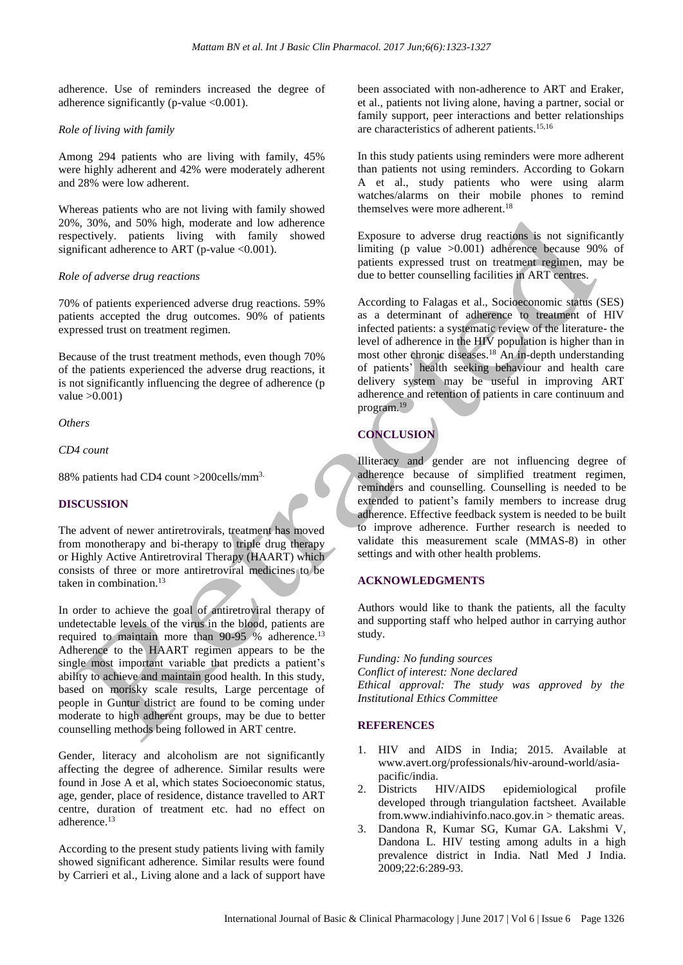adherence. Use of reminders increased the degree of adherence significantly (p-value  $\langle 0.001 \rangle$ ).

#### *Role of living with family*

Among 294 patients who are living with family, 45% were highly adherent and 42% were moderately adherent and 28% were low adherent.

Whereas patients who are not living with family showed 20%, 30%, and 50% high, moderate and low adherence respectively. patients living with family showed significant adherence to ART (p-value <0.001).

#### *Role of adverse drug reactions*

70% of patients experienced adverse drug reactions. 59% patients accepted the drug outcomes. 90% of patients expressed trust on treatment regimen.

Because of the trust treatment methods, even though 70% of the patients experienced the adverse drug reactions, it is not significantly influencing the degree of adherence (p value  $>0.001$ )

*Others*

*CD4 count*

88% patients had CD4 count >200cells/mm3.

#### **DISCUSSION**

The advent of newer antiretrovirals, treatment has moved from monotherapy and bi-therapy to triple drug therapy or Highly Active Antiretroviral Therapy (HAART) which consists of three or more antiretroviral medicines to be taken in combination.<sup>13</sup>

In order to achieve the goal of antiretroviral therapy of undetectable levels of the virus in the blood, patients are required to maintain more than 90-95 % adherence.<sup>13</sup> Adherence to the HAART regimen appears to be the single most important variable that predicts a patient's ability to achieve and maintain good health. In this study, based on morisky scale results, Large percentage of people in Guntur district are found to be coming under moderate to high adherent groups, may be due to better counselling methods being followed in ART centre.

Gender, literacy and alcoholism are not significantly affecting the degree of adherence. Similar results were found in Jose A et al, which states Socioeconomic status, age, gender, place of residence, distance travelled to ART centre, duration of treatment etc. had no effect on adherence. 13

According to the present study patients living with family showed significant adherence. Similar results were found by Carrieri et al., Living alone and a lack of support have been associated with non-adherence to ART and Eraker, et al., patients not living alone, having a partner, social or family support, peer interactions and better relationships are characteristics of adherent patients. 15,16

In this study patients using reminders were more adherent than patients not using reminders. According to Gokarn A et al., study patients who were using alarm watches/alarms on their mobile phones to remind themselves were more adherent.<sup>18</sup>

Exposure to adverse drug reactions is not significantly limiting (p value >0.001) adherence because 90% of patients expressed trust on treatment regimen, may be due to better counselling facilities in ART centres.

According to Falagas et al., Socioeconomic status (SES) as a determinant of adherence to treatment of HIV infected patients: a systematic review of the literature- the level of adherence in the HIV population is higher than in most other chronic diseases. <sup>18</sup> An in-depth understanding of patients' health seeking behaviour and health care delivery system may be useful in improving ART adherence and retention of patients in care continuum and program.<sup>19</sup>

## **CONCLUSION**

Illiteracy and gender are not influencing degree of adherence because of simplified treatment regimen, reminders and counselling. Counselling is needed to be extended to patient's family members to increase drug adherence. Effective feedback system is needed to be built to improve adherence. Further research is needed to validate this measurement scale (MMAS-8) in other settings and with other health problems.

#### **ACKNOWLEDGMENTS**

Authors would like to thank the patients, all the faculty and supporting staff who helped author in carrying author study.

*Funding: No funding sources Conflict of interest: None declared Ethical approval: The study was approved by the Institutional Ethics Committee*

#### **REFERENCES**

- 1. HIV and AIDS in India; 2015. Available at www.avert.org/professionals/hiv-around-world/asiapacific/india.
- 2. Districts HIV/AIDS epidemiological profile developed through triangulation factsheet. Available from.www.indiahivinfo.naco.gov.in > thematic areas.
- 3. Dandona R, Kumar SG, Kumar GA. Lakshmi V, Dandona L. HIV testing among adults in a high prevalence district in India. Natl Med J India. 2009;22:6:289-93.